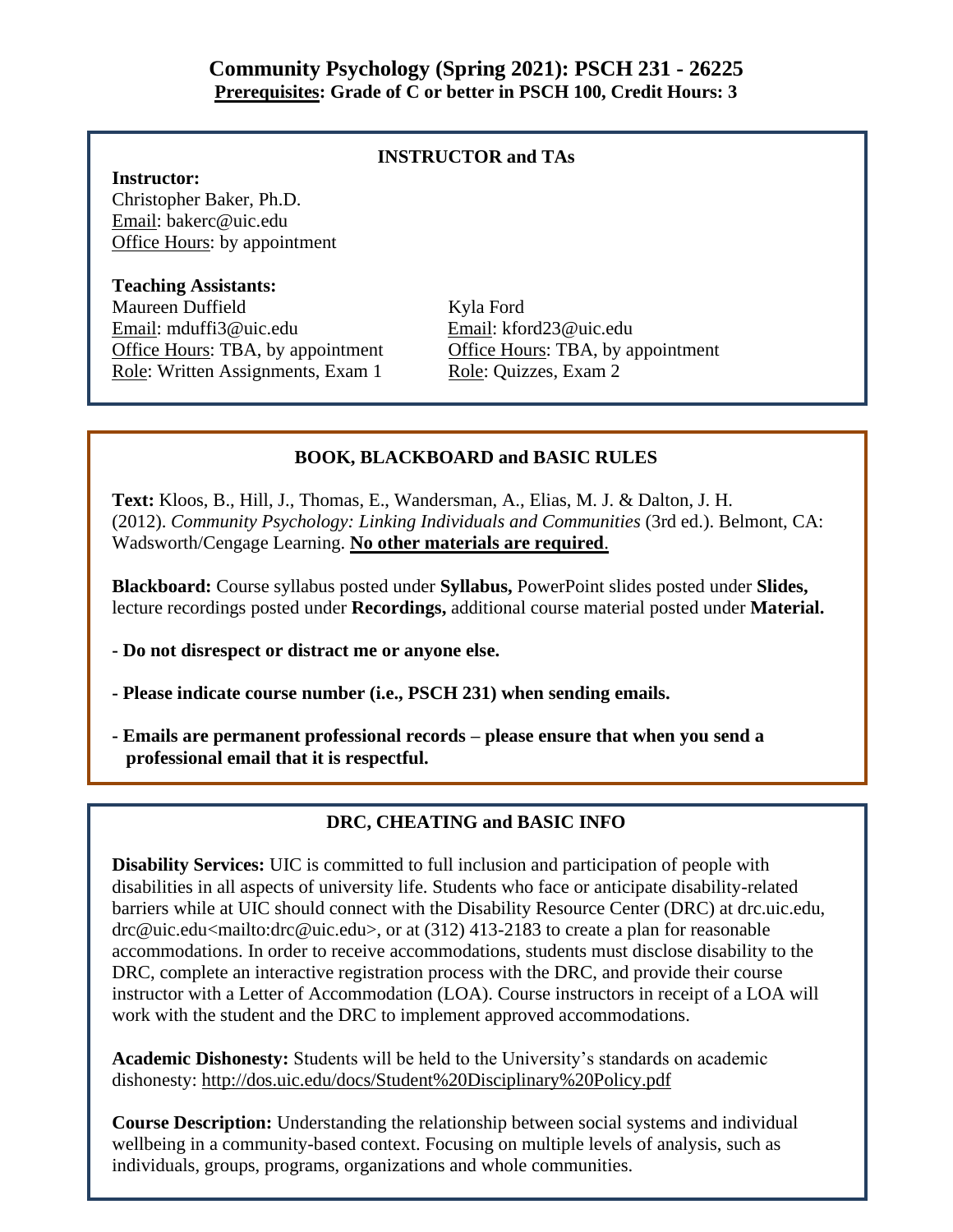## **INSTRUCTOR and TAs**

## **Instructor:**

Christopher Baker, Ph.D. Email: bakerc@uic.edu Office Hours: by appointment

## **Teaching Assistants:**

Maureen Duffield Kyla Ford Email: mduffi3@uic.edu Email: kford23@uic.edu Office Hours: TBA, by appointment Office Hours: TBA, by appointment Role: Written Assignments, Exam 1 Role: Quizzes, Exam 2

## **BOOK, BLACKBOARD and BASIC RULES**

**Text:** Kloos, B., Hill, J., Thomas, E., Wandersman, A., Elias, M. J. & Dalton, J. H. (2012). *Community Psychology: Linking Individuals and Communities* (3rd ed.). Belmont, CA: Wadsworth/Cengage Learning. **No other materials are required**.

**Blackboard:** Course syllabus posted under **Syllabus,** PowerPoint slides posted under **Slides,**  lecture recordings posted under **Recordings,** additional course material posted under **Material.** 

**- Do not disrespect or distract me or anyone else.** 

**- Please indicate course number (i.e., PSCH 231) when sending emails.** 

**- Emails are permanent professional records – please ensure that when you send a professional email that it is respectful.**

## **DRC, CHEATING and BASIC INFO**

**Disability Services:** UIC is committed to full inclusion and participation of people with disabilities in all aspects of university life. Students who face or anticipate disability-related barriers while at UIC should connect with the Disability Resource Center (DRC) at drc.uic.edu, drc@uic.edu<mailto:drc@uic.edu>, or at (312) 413-2183 to create a plan for reasonable accommodations. In order to receive accommodations, students must disclose disability to the DRC, complete an interactive registration process with the DRC, and provide their course instructor with a Letter of Accommodation (LOA). Course instructors in receipt of a LOA will work with the student and the DRC to implement approved accommodations.

**Academic Dishonesty:** Students will be held to the University's standards on academic dishonesty: http://dos.uic.edu/docs/Student%20Disciplinary%20Policy.pdf

**Course Description:** Understanding the relationship between social systems and individual wellbeing in a community-based context. Focusing on multiple levels of analysis, such as individuals, groups, programs, organizations and whole communities.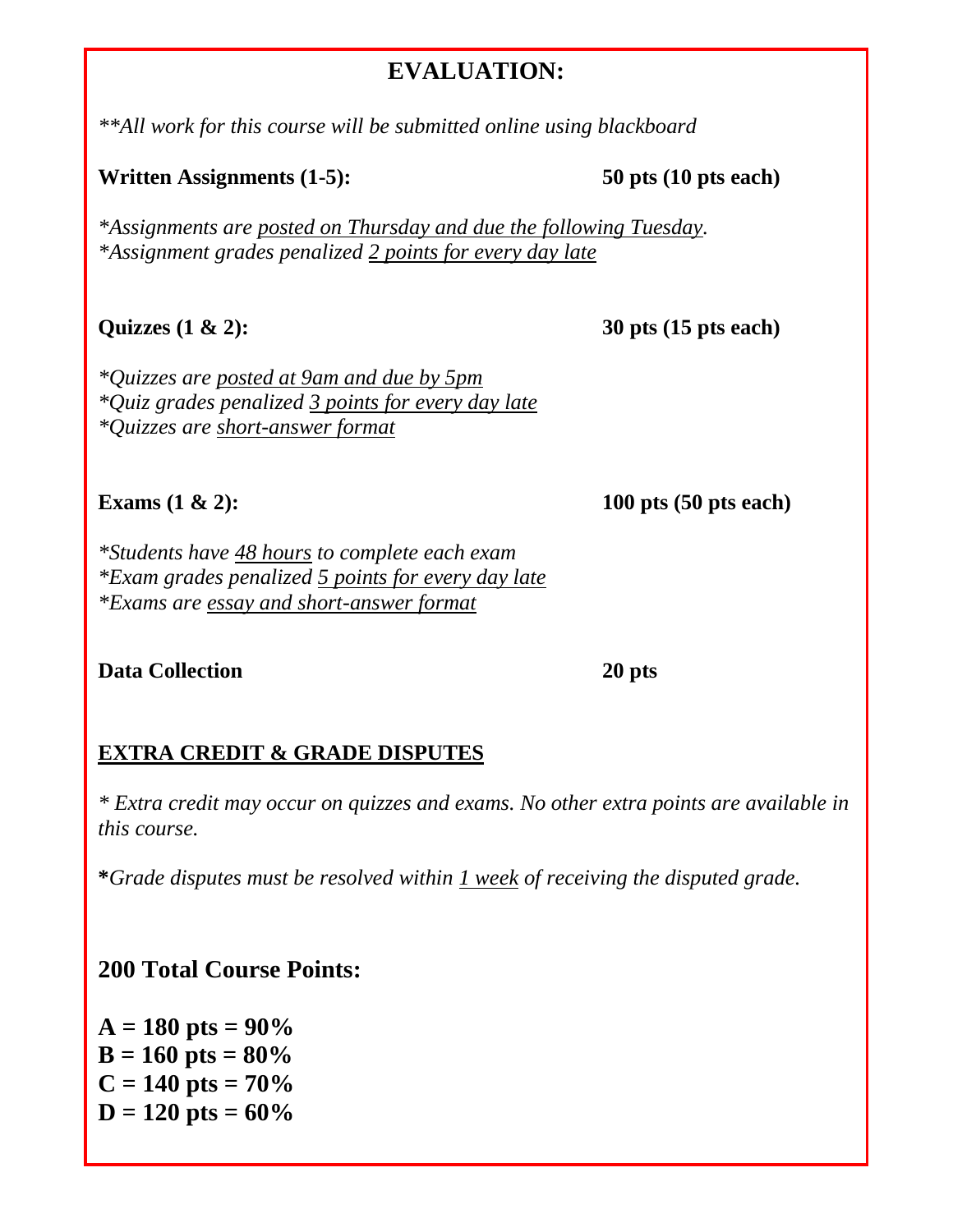# **EVALUATION:**

*\*\*All work for this course will be submitted online using blackboard*

## Written Assignments (1-5): 50 pts (10 pts each)

*\*Assignments are posted on Thursday and due the following Tuesday. \*Assignment grades penalized 2 points for every day late*

**Quizzes (1 & 2): 30 pts (15 pts each)**

*\*Quizzes are posted at 9am and due by 5pm \*Quiz grades penalized 3 points for every day late \*Quizzes are short-answer format*

**Exams** (1 & 2): 100 pts (50 pts each)

*\*Students have 48 hours to complete each exam \*Exam grades penalized 5 points for every day late \*Exams are essay and short-answer format*

## **Data Collection 20 pts**

# **EXTRA CREDIT & GRADE DISPUTES**

*\* Extra credit may occur on quizzes and exams. No other extra points are available in this course.*

**\****Grade disputes must be resolved within 1 week of receiving the disputed grade.*

# **200 Total Course Points:**

 $A = 180$  pts =  $90\%$  $B = 160$  pts =  $80\%$  $C = 140$  pts =  $70\%$  $D = 120$  pts =  $60\%$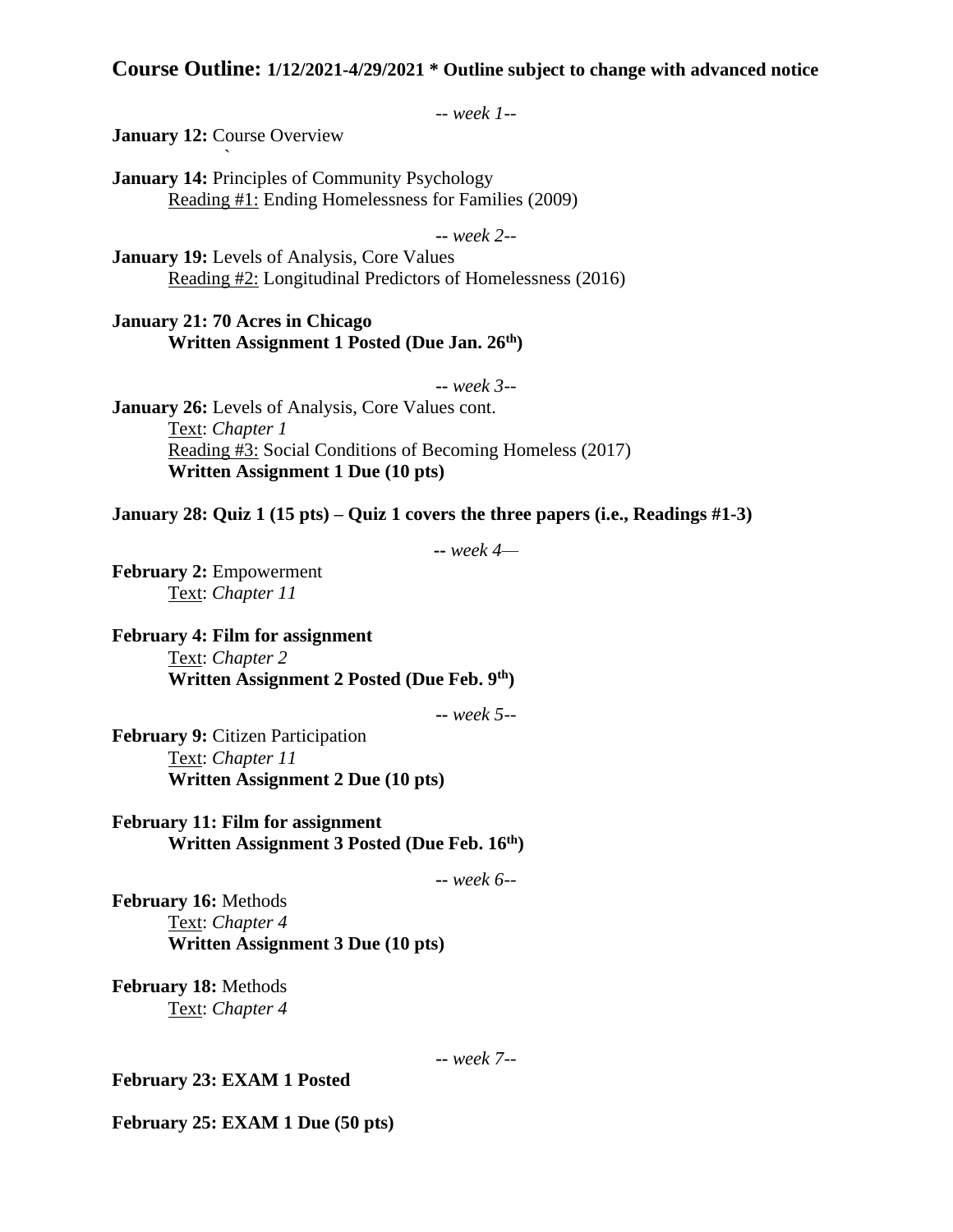## **Course Outline: 1/12/2021-4/29/2021 \* Outline subject to change with advanced notice**

-- *week 1--*

**January 12: Course Overview** `

**January 14:** Principles of Community Psychology Reading #1: Ending Homelessness for Families (2009)

**--** *week 2--*

**January 19:** Levels of Analysis, Core Values Reading #2: Longitudinal Predictors of Homelessness (2016)

**January 21: 70 Acres in Chicago Written Assignment 1 Posted (Due Jan. 26th)**

**--** *week 3--*

**January 26:** Levels of Analysis, Core Values cont. Text: *Chapter 1* Reading #3: Social Conditions of Becoming Homeless (2017) **Written Assignment 1 Due (10 pts)**

**January 28: Quiz 1 (15 pts) – Quiz 1 covers the three papers (i.e., Readings #1-3)**

**--** *week 4—*

**February 2: Empowerment** Text: *Chapter 11*

**February 4: Film for assignment** Text: *Chapter 2* **Written Assignment 2 Posted (Due Feb. 9th)**

**--** *week 5--*

**February 9: Citizen Participation** Text: *Chapter 11* **Written Assignment 2 Due (10 pts)**

**February 11: Film for assignment Written Assignment 3 Posted (Due Feb. 16th)**

**--** *week 6--*

**February 16:** Methods Text: *Chapter 4* **Written Assignment 3 Due (10 pts)**

**February 18:** Methods Text: *Chapter 4*

**--** *week 7--*

**February 23: EXAM 1 Posted** 

**February 25: EXAM 1 Due (50 pts)**